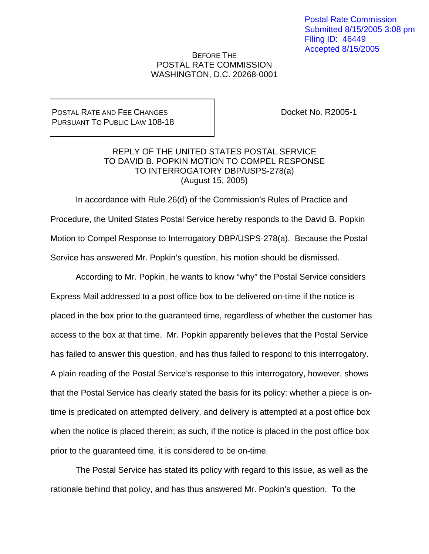Postal Rate Commission Submitted 8/15/2005 3:08 pm Filing ID: 46449 Accepted 8/15/2005

## BEFORE THE POSTAL RATE COMMISSION WASHINGTON, D.C. 20268-0001

## POSTAL RATE AND FEE CHANGES PURSUANT TO PUBLIC LAW 108-18

Docket No. R2005-1

## REPLY OF THE UNITED STATES POSTAL SERVICE TO DAVID B. POPKIN MOTION TO COMPEL RESPONSE TO INTERROGATORY DBP/USPS-278(a) (August 15, 2005)

In accordance with Rule 26(d) of the Commission's Rules of Practice and Procedure, the United States Postal Service hereby responds to the David B. Popkin Motion to Compel Response to Interrogatory DBP/USPS-278(a). Because the Postal Service has answered Mr. Popkin's question, his motion should be dismissed.

According to Mr. Popkin, he wants to know "why" the Postal Service considers Express Mail addressed to a post office box to be delivered on-time if the notice is placed in the box prior to the guaranteed time, regardless of whether the customer has access to the box at that time. Mr. Popkin apparently believes that the Postal Service has failed to answer this question, and has thus failed to respond to this interrogatory. A plain reading of the Postal Service's response to this interrogatory, however, shows that the Postal Service has clearly stated the basis for its policy: whether a piece is ontime is predicated on attempted delivery, and delivery is attempted at a post office box when the notice is placed therein; as such, if the notice is placed in the post office box prior to the guaranteed time, it is considered to be on-time.

The Postal Service has stated its policy with regard to this issue, as well as the rationale behind that policy, and has thus answered Mr. Popkin's question. To the